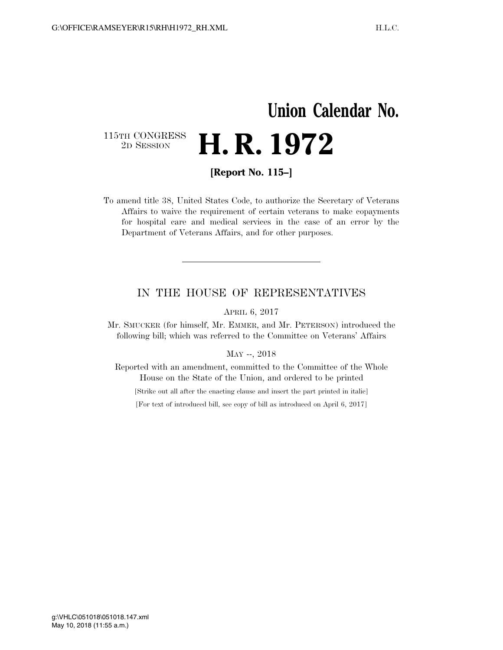## **Union Calendar No.**  115TH CONGRESS<br>2D SESSION 2D SESSION **H. R. 1972**

**[Report No. 115–]** 

To amend title 38, United States Code, to authorize the Secretary of Veterans Affairs to waive the requirement of certain veterans to make copayments for hospital care and medical services in the case of an error by the Department of Veterans Affairs, and for other purposes.

## IN THE HOUSE OF REPRESENTATIVES

APRIL 6, 2017

Mr. SMUCKER (for himself, Mr. EMMER, and Mr. PETERSON) introduced the following bill; which was referred to the Committee on Veterans' Affairs

## MAY --, 2018

Reported with an amendment, committed to the Committee of the Whole House on the State of the Union, and ordered to be printed

[Strike out all after the enacting clause and insert the part printed in italic]

[For text of introduced bill, see copy of bill as introduced on April 6, 2017]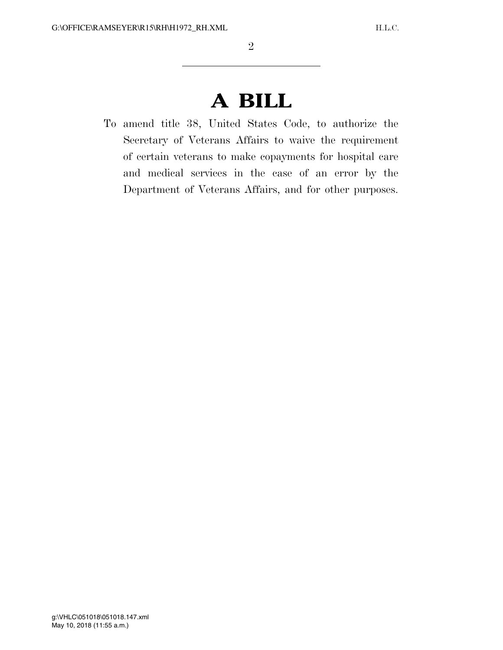## **A BILL**

To amend title 38, United States Code, to authorize the Secretary of Veterans Affairs to waive the requirement of certain veterans to make copayments for hospital care and medical services in the case of an error by the Department of Veterans Affairs, and for other purposes.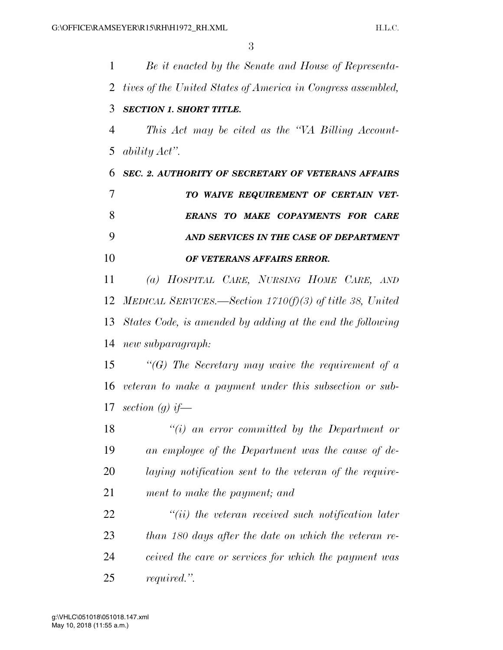*Be it enacted by the Senate and House of Representa- tives of the United States of America in Congress assembled, SECTION 1. SHORT TITLE. This Act may be cited as the ''VA Billing Account- ability Act''. SEC. 2. AUTHORITY OF SECRETARY OF VETERANS AFFAIRS TO WAIVE REQUIREMENT OF CERTAIN VET- ERANS TO MAKE COPAYMENTS FOR CARE AND SERVICES IN THE CASE OF DEPARTMENT OF VETERANS AFFAIRS ERROR. (a) HOSPITAL CARE, NURSING HOME CARE, AND MEDICAL SERVICES.—Section 1710(f)(3) of title 38, United States Code, is amended by adding at the end the following new subparagraph: ''(G) The Secretary may waive the requirement of a veteran to make a payment under this subsection or sub- section (g) if— ''(i) an error committed by the Department or an employee of the Department was the cause of de- laying notification sent to the veteran of the require- ment to make the payment; and ''(ii) the veteran received such notification later than 180 days after the date on which the veteran re- ceived the care or services for which the payment was required.''.*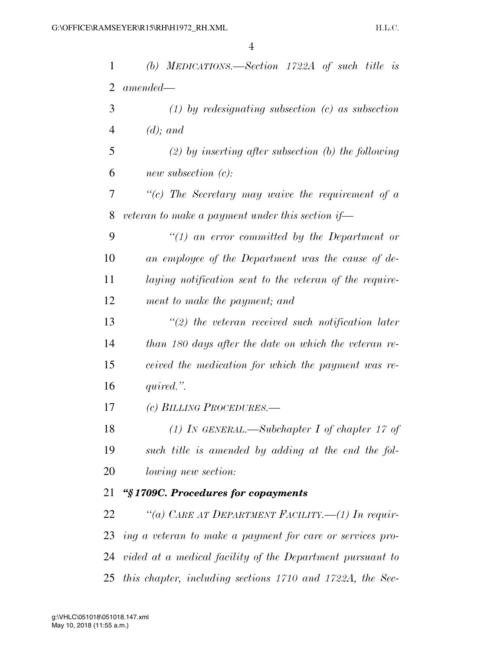| $\mathbf{1}$   | (b) MEDICATIONS.—Section $1722A$ of such title is            |
|----------------|--------------------------------------------------------------|
| $\overline{2}$ | $amended-$                                                   |
| 3              | $(1)$ by redesignating subsection $(c)$ as subsection        |
| $\overline{4}$ | $(d)$ ; and                                                  |
| 5              | $(2)$ by inserting after subsection (b) the following        |
| 6              | new subsection $(c)$ :                                       |
| 7              | $\lq\lq c$ The Secretary may waive the requirement of a      |
| 8              | veteran to make a payment under this section if—             |
| 9              | $\lq(1)$ an error committed by the Department or             |
| 10             | an employee of the Department was the cause of de-           |
| 11             | laying notification sent to the veteran of the require-      |
| 12             | ment to make the payment; and                                |
| 13             | $\lq(2)$ the veteran received such notification later        |
| 14             | than 180 days after the date on which the veteran re-        |
| 15             | ceived the medication for which the payment was re-          |
| 16             | quired.".                                                    |
| 17             | (c) BILLING PROCEDURES.—                                     |
| 18             | (1) IN GENERAL.—Subchapter I of chapter 17 of                |
| 19             | such title is amended by adding at the end the fol-          |
| 20             | <i>lowing new section:</i>                                   |
| 21             | "§1709C. Procedures for copayments                           |
| 22             | "(a) CARE AT DEPARTMENT FACILITY.—(1) In requir-             |
|                | 23 ing a veteran to make a payment for care or services pro- |
|                | 24 vided at a medical facility of the Department pursuant to |
|                | 25 this chapter, including sections 1710 and 1722A, the Sec- |
|                |                                                              |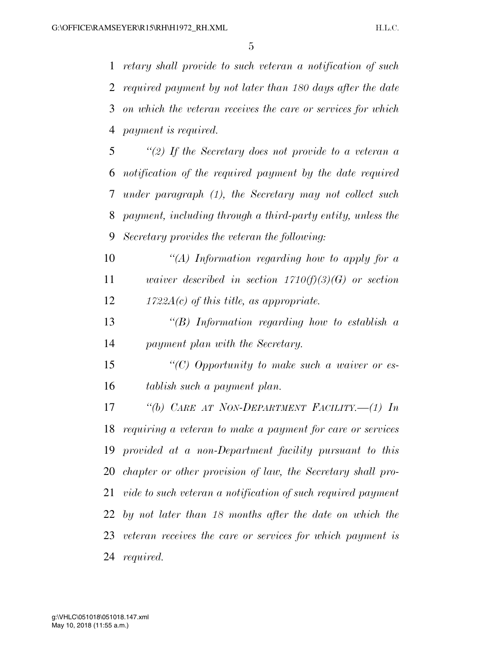*retary shall provide to such veteran a notification of such required payment by not later than 180 days after the date on which the veteran receives the care or services for which payment is required.* 

 *''(2) If the Secretary does not provide to a veteran a notification of the required payment by the date required under paragraph (1), the Secretary may not collect such payment, including through a third-party entity, unless the Secretary provides the veteran the following:* 

 *''(A) Information regarding how to apply for a waiver described in section 1710(f)(3)(G) or section 1722A(c) of this title, as appropriate.* 

 *''(B) Information regarding how to establish a payment plan with the Secretary.* 

 *''(C) Opportunity to make such a waiver or es-tablish such a payment plan.* 

 *''(b) CARE AT NON-DEPARTMENT FACILITY.—(1) In requiring a veteran to make a payment for care or services provided at a non-Department facility pursuant to this chapter or other provision of law, the Secretary shall pro- vide to such veteran a notification of such required payment by not later than 18 months after the date on which the veteran receives the care or services for which payment is required.*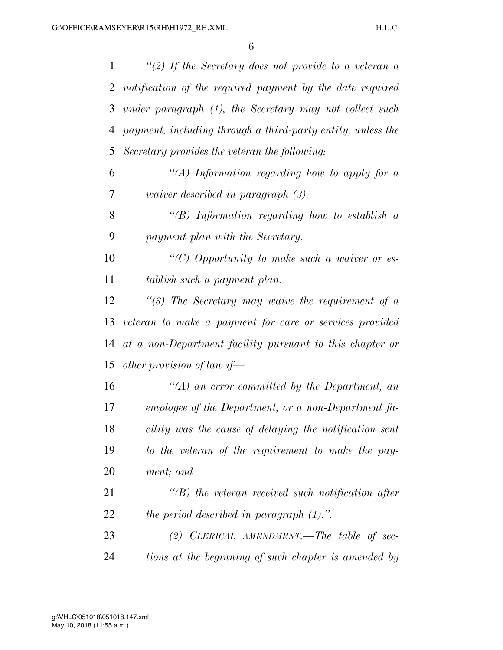| 1  | "(2) If the Secretary does not provide to a veteran a       |
|----|-------------------------------------------------------------|
| 2  | notification of the required payment by the date required   |
| 3  | under paragraph (1), the Secretary may not collect such     |
| 4  | payment, including through a third-party entity, unless the |
| 5  | Secretary provides the veteran the following:               |
| 6  | "(A) Information regarding how to apply for a               |
| 7  | <i>waiver described in paragraph</i> $(3)$ .                |
| 8  | "(B) Information regarding how to establish $\alpha$        |
| 9  | payment plan with the Secretary.                            |
| 10 | "(C) Opportunity to make such a waiver or es-               |
| 11 | tablish such a payment plan.                                |
| 12 | $\lq(3)$ The Secretary may waive the requirement of a       |
| 13 | veteran to make a payment for care or services provided     |
| 14 | at a non-Department facility pursuant to this chapter or    |
| 15 | other provision of law if-                                  |
| 16 | $\lq (A)$ an error committed by the Department, an          |
| 17 | employee of the Department, or a non-Department fa-         |
| 18 | cility was the cause of delaying the notification sent      |
| 19 | to the veteran of the requirement to make the pay-          |
| 20 | ment; and                                                   |
| 21 | $\lq (B)$ the veteran received such notification after      |
| 22 | the period described in paragraph $(1)$ .".                 |
| 23 | (2) CLERICAL AMENDMENT.—The table of sec-                   |
| 24 | tions at the beginning of such chapter is amended by        |